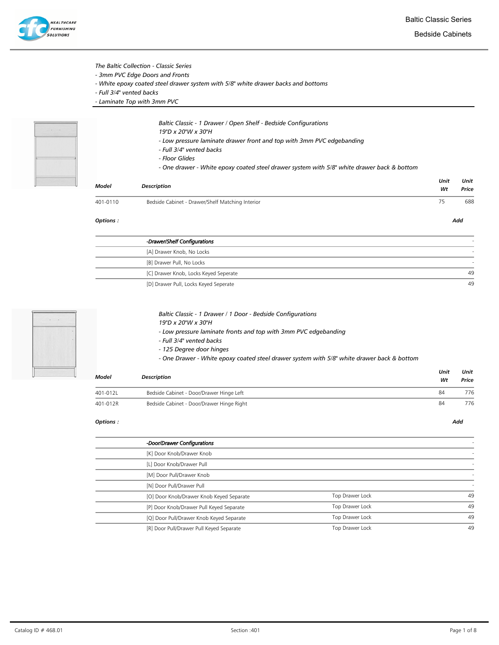

### The Baltic Collection - Classic Series

- 3mm PVC Edge Doors and Fronts
- White epoxy coated steel drawer system with 5/8" white drawer backs and bottoms
- Full 3/4" vented backs
- Laminate Top with 3mm PVC



- Baltic Classic 1 Drawer / Open Shelf Bedside Configurations
- 19"D x 20"W x 30"H
- Low pressure laminate drawer front and top with 3mm PVC edgebanding
- Full 3/4" vented backs
- Floor Glides
- One drawer White epoxy coated steel drawer system with 5/8" white drawer back & bottom

| Model    | <b>Description</b>                               | Unit<br>Wt | Unit<br>Price |
|----------|--------------------------------------------------|------------|---------------|
| 401-0110 | Bedside Cabinet - Drawer/Shelf Matching Interior | 75         | 688           |

#### Options : Add

| -Drawer/Shelf Configurations          |    |
|---------------------------------------|----|
| [A] Drawer Knob, No Locks             |    |
| [B] Drawer Pull, No Locks             |    |
| [C] Drawer Knob, Locks Keyed Seperate | 49 |
| [D] Drawer Pull, Locks Keyed Seperate | 49 |



| Baltic Classic - 1 Drawer / 1 Door - Bedside Configurations     |
|-----------------------------------------------------------------|
| 19"D x 20"W x 30"H                                              |
| - Low pressure laminate fronts and top with 3mm PVC edgebanding |

- Full 3/4" vented backs
- 125 Degree door hinges
- One Drawer White epoxy coated steel drawer system with 5/8" white drawer back & bottom

| <b>Model</b> | <b>Description</b>                        | Unit<br>Wt | Unit<br>Price |
|--------------|-------------------------------------------|------------|---------------|
| 401-012L     | Bedside Cabinet - Door/Drawer Hinge Left  | 84         | 776           |
| 401-012R     | Bedside Cabinet - Door/Drawer Hinge Right | 84         | 776           |

| -Door/Drawer Configurations              |                 |    |
|------------------------------------------|-----------------|----|
| [K] Door Knob/Drawer Knob                |                 |    |
| [L] Door Knob/Drawer Pull                |                 |    |
| [M] Door Pull/Drawer Knob                |                 |    |
| [N] Door Pull/Drawer Pull                |                 |    |
| [O] Door Knob/Drawer Knob Keyed Separate | Top Drawer Lock | 49 |
| [P] Door Knob/Drawer Pull Keyed Separate | Top Drawer Lock | 49 |
| [Q] Door Pull/Drawer Knob Keyed Separate | Top Drawer Lock | 49 |
| [R] Door Pull/Drawer Pull Keyed Separate | Top Drawer Lock | 49 |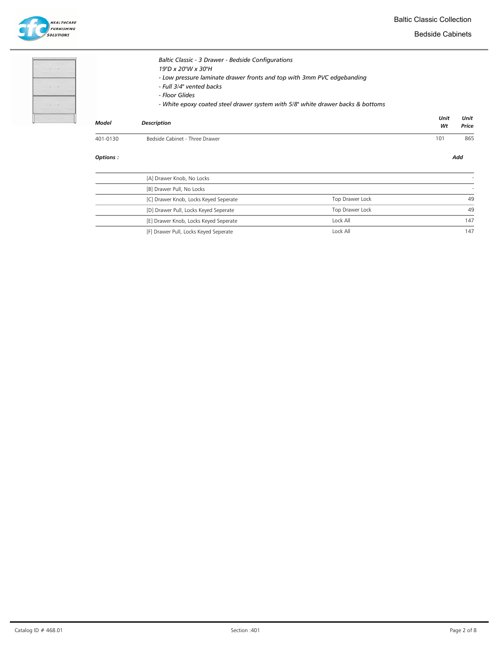**HEALTHCARE**<br>FURNISHING<br>SOLUTIONS

Bedside Cabinets

| ×.<br>$\ddot{\phantom{1}}$                                | $\sim$<br>. . |  |
|-----------------------------------------------------------|---------------|--|
| $\mathcal{L}_{\mathcal{A}}$ , $\mathcal{L}_{\mathcal{A}}$ |               |  |
| $\sim$<br>a ka                                            | e.            |  |
| ٠                                                         |               |  |

| Options : |                                                                                                                                                                                                                                                                                     |            | Add           |
|-----------|-------------------------------------------------------------------------------------------------------------------------------------------------------------------------------------------------------------------------------------------------------------------------------------|------------|---------------|
| 401-0130  | Bedside Cabinet - Three Drawer                                                                                                                                                                                                                                                      | 101        | 865           |
| Model     | <b>Description</b>                                                                                                                                                                                                                                                                  | Unit<br>Wt | Unit<br>Price |
|           | Baltic Classic - 3 Drawer - Bedside Configurations<br>19"D x 20"W x 30"H<br>- Low pressure laminate drawer fronts and top with 3mm PVC edgebanding<br>- Full 3/4" vented backs<br>- Floor Glides<br>- White epoxy coated steel drawer system with 5/8" white drawer backs & bottoms |            |               |

| [A] Drawer Knob, No Locks             |                 |     |
|---------------------------------------|-----------------|-----|
| [B] Drawer Pull, No Locks             |                 |     |
| [C] Drawer Knob, Locks Keyed Seperate | Top Drawer Lock | 49  |
| [D] Drawer Pull, Locks Keyed Seperate | Top Drawer Lock | 49  |
| [E] Drawer Knob, Locks Keyed Seperate | Lock All        | 147 |
| [F] Drawer Pull, Locks Keyed Seperate | Lock All        | 147 |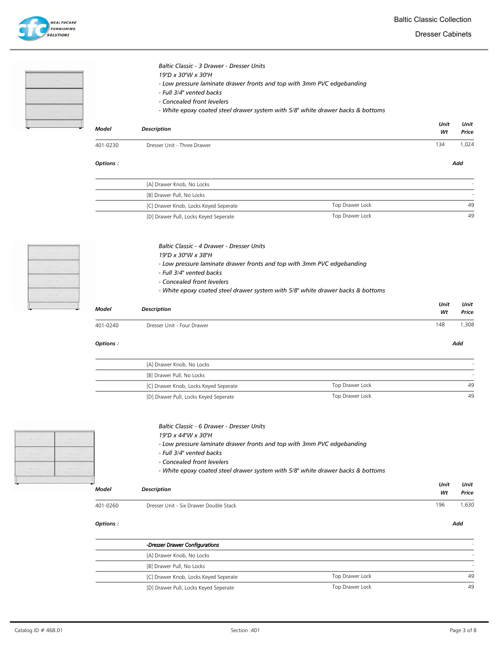Dresser Cabinets

**HEALTHCARE FURNISHING** .<br>solutions

|          | Baltic Classic - 3 Drawer - Dresser Units<br>19"D x 30"W x 30"H<br>- Low pressure laminate drawer fronts and top with 3mm PVC edgebanding<br>- Full 3/4" vented backs<br>- Concealed front levelers<br>- White epoxy coated steel drawer system with 5/8" white drawer backs & bottoms |            |               |
|----------|----------------------------------------------------------------------------------------------------------------------------------------------------------------------------------------------------------------------------------------------------------------------------------------|------------|---------------|
| Model    | <b>Description</b>                                                                                                                                                                                                                                                                     | Unit<br>Wt | Unit<br>Price |
| 401-0230 | Dresser Unit - Three Drawer                                                                                                                                                                                                                                                            | 134        | 1,024         |
| Options: |                                                                                                                                                                                                                                                                                        |            | Add           |

| [A] Drawer Knob, No Locks             |                 |    |
|---------------------------------------|-----------------|----|
| [B] Drawer Pull, No Locks             |                 |    |
| [C] Drawer Knob, Locks Keyed Seperate | Top Drawer Lock | 49 |
| [D] Drawer Pull, Locks Keyed Seperate | Top Drawer Lock | 49 |

|  |  | Baltic Classic - 4 Drawer - Dresser Units |  |  |
|--|--|-------------------------------------------|--|--|
|--|--|-------------------------------------------|--|--|

- 19"D x 30"W x 38"H
- Low pressure laminate drawer fronts and top with 3mm PVC edgebanding
- Full 3/4" vented backs
- Concealed front levelers
- White epoxy coated steel drawer system with 5/8" white drawer backs & bottoms

| Model    | <b>Description</b>         | Unit<br>Wt | Unit<br>Price |
|----------|----------------------------|------------|---------------|
| 401-0240 | Dresser Unit - Four Drawer | 148        | ,308          |

#### Options : Add

| [A] Drawer Knob, No Locks             |                 |    |
|---------------------------------------|-----------------|----|
| [B] Drawer Pull, No Locks             |                 |    |
| [C] Drawer Knob, Locks Keyed Seperate | Top Drawer Lock | 49 |
| [D] Drawer Pull, Locks Keyed Seperate | Top Drawer Lock | 49 |



| Baltic Classic - 6 Drawer - Dresser Units |
|-------------------------------------------|
|-------------------------------------------|

- 19"D x 44"W x 30"H - Low pressure laminate drawer fronts and top with 3mm PVC edgebanding
- 
- Full 3/4" vented backs
- Concealed front levelers
- White epoxy coated steel drawer system with 5/8" white drawer backs & bottoms

| Model    | <b>Description</b>                     | Unit<br>Wt | Unit<br>Price            |
|----------|----------------------------------------|------------|--------------------------|
| 401-0260 | Dresser Unit - Six Drawer Double Stack | 196        | 1,630                    |
| Options: |                                        |            | Add                      |
|          | -Dresser Drawer Configurations         |            |                          |
|          |                                        |            | $\overline{\phantom{a}}$ |
|          | [A] Drawer Knob, No Locks              |            |                          |
|          | [B] Drawer Pull, No Locks              |            | ۰                        |

[D] Drawer Pull, Locks Keyed Seperate Top Drawer Lock Top Drawer Lock 49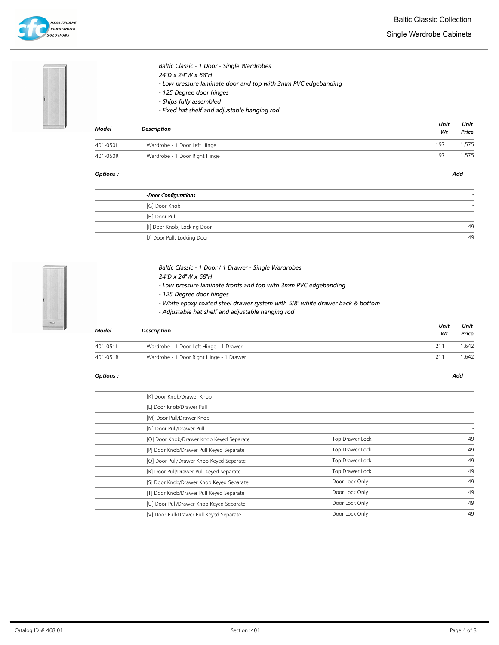### Single Wardrobe Cabinets



# Baltic Classic - 1 Door - Single Wardrobes

- 24"D x 24"W x 68"H
	- Low pressure laminate door and top with 3mm PVC edgebanding
	- 125 Degree door hinges
	- Ships fully assembled
- Fixed hat shelf and adjustable hanging rod

| Model    | <b>Description</b>            | Unit<br>Wt | Unit<br>Price |
|----------|-------------------------------|------------|---------------|
| 401-050L | Wardrobe - 1 Door Left Hinge  | 197        | .575          |
| 401-050R | Wardrobe - 1 Door Right Hinge | 197        | .575          |

#### Options : Add

| -Door Configurations        |    |
|-----------------------------|----|
| [G] Door Knob               |    |
| [H] Door Pull               |    |
| [I] Door Knob, Locking Door | 49 |
| [J] Door Pull, Locking Door | 49 |



### Baltic Classic - 1 Door / 1 Drawer - Single Wardrobes

- 24"D x 24"W x 68"H
- Low pressure laminate fronts and top with 3mm PVC edgebanding
- 125 Degree door hinges
- White epoxy coated steel drawer system with 5/8" white drawer back & bottom
- Adjustable hat shelf and adjustable hanging rod

| Model    | <b>Description</b>                       | Unit<br>Wt | Unit<br>Price |
|----------|------------------------------------------|------------|---------------|
| 401-051L | Wardrobe - 1 Door Left Hinge - 1 Drawer  | 211        | .642          |
| 401-051R | Wardrobe - 1 Door Right Hinge - 1 Drawer | 211        | .642          |

| [K] Door Knob/Drawer Knob                |                 |    |
|------------------------------------------|-----------------|----|
| [L] Door Knob/Drawer Pull                |                 |    |
| [M] Door Pull/Drawer Knob                |                 |    |
| [N] Door Pull/Drawer Pull                |                 |    |
| [O] Door Knob/Drawer Knob Keyed Separate | Top Drawer Lock | 49 |
| [P] Door Knob/Drawer Pull Keyed Separate | Top Drawer Lock | 49 |
| [Q] Door Pull/Drawer Knob Keyed Separate | Top Drawer Lock | 49 |
| [R] Door Pull/Drawer Pull Keyed Separate | Top Drawer Lock | 49 |
| [S] Door Knob/Drawer Knob Keyed Separate | Door Lock Only  | 49 |
| [T] Door Knob/Drawer Pull Keyed Separate | Door Lock Only  | 49 |
| [U] Door Pull/Drawer Knob Keyed Separate | Door Lock Only  | 49 |
| [V] Door Pull/Drawer Pull Keyed Separate | Door Lock Only  | 49 |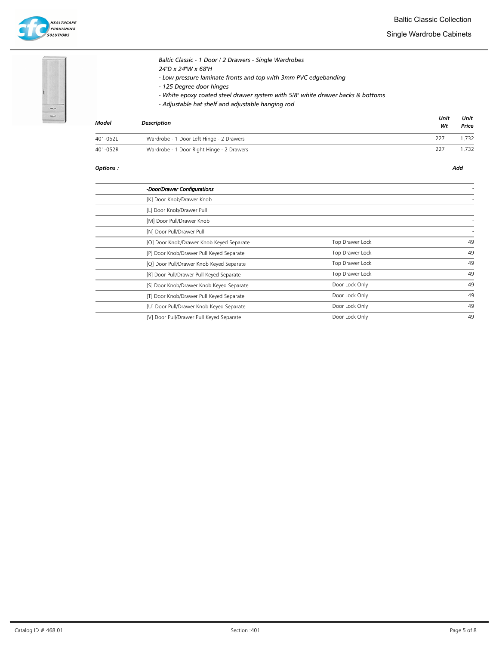Single Wardrobe Cabinets





# Baltic Classic - 1 Door / 2 Drawers - Single Wardrobes 24"D x 24"W x 68"H - Low pressure laminate fronts and top with 3mm PVC edgebanding - 125 Degree door hinges - White epoxy coated steel drawer system with 5/8" white drawer backs & bottoms

- Adjustable hat shelf and adjustable hanging rod

| Model    | <b>Description</b>                        | Unit<br>Wt | Unit<br>Price |
|----------|-------------------------------------------|------------|---------------|
| 401-052L | Wardrobe - 1 Door Left Hinge - 2 Drawers  | 227        | 1.732         |
| 401-052R | Wardrobe - 1 Door Right Hinge - 2 Drawers | 227        | .732          |

| -Door/Drawer Configurations              |                 |    |
|------------------------------------------|-----------------|----|
| [K] Door Knob/Drawer Knob                |                 |    |
| [L] Door Knob/Drawer Pull                |                 |    |
| [M] Door Pull/Drawer Knob                |                 |    |
| [N] Door Pull/Drawer Pull                |                 |    |
| [O] Door Knob/Drawer Knob Keyed Separate | Top Drawer Lock | 49 |
| [P] Door Knob/Drawer Pull Keyed Separate | Top Drawer Lock | 49 |
| [Q] Door Pull/Drawer Knob Keyed Separate | Top Drawer Lock | 49 |
| [R] Door Pull/Drawer Pull Keyed Separate | Top Drawer Lock | 49 |
| [S] Door Knob/Drawer Knob Keyed Separate | Door Lock Only  | 49 |
| [T] Door Knob/Drawer Pull Keyed Separate | Door Lock Only  | 49 |
| [U] Door Pull/Drawer Knob Keyed Separate | Door Lock Only  | 49 |
| [V] Door Pull/Drawer Pull Keyed Separate | Door Lock Only  | 49 |
|                                          |                 |    |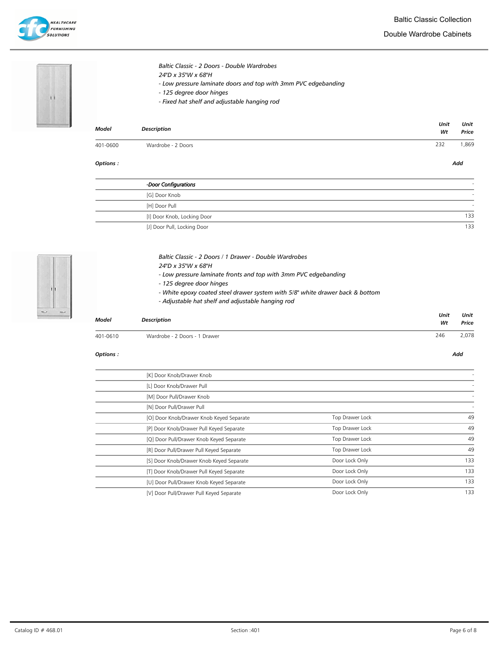Double Wardrobe Cabinets



| Baltic Classic - 2 Doors - Double Wardrobes                    |
|----------------------------------------------------------------|
| 24"D x 35"W x 68"H                                             |
| - Low pressure laminate doors and top with 3mm PVC edgebanding |
| - 125 degree door hinges                                       |
| - Fixed hat shelf and adjustable hanging rod                   |
|                                                                |
|                                                                |
|                                                                |

| Model    | Description        | Wt  | Price |
|----------|--------------------|-----|-------|
| 401-0600 | Wardrobe - 2 Doors | 232 | ,869  |

#### Options : Add

Unit

Unit

| -Door Configurations        |     |
|-----------------------------|-----|
| [G] Door Knob               |     |
| [H] Door Pull               |     |
| [I] Door Knob, Locking Door | 133 |
| [J] Door Pull, Locking Door | 133 |



| Baltic Classic - 2 Doors / 1 Drawer - Double Wardrobes          |
|-----------------------------------------------------------------|
| 24"D x 35"W x 68"H                                              |
| - Low pressure laminate fronts and top with 3mm PVC edgebanding |

- 125 degree door hinges
- White epoxy coated steel drawer system with 5/8" white drawer back & bottom
- Adjustable hat shelf and adjustable hanging rod

| Model    | <b>Description</b>            | Unit<br>Wt | Unit<br>Price |
|----------|-------------------------------|------------|---------------|
| 401-0610 | Wardrobe - 2 Doors - 1 Drawer | 246        | 2,078         |

#### Options : Add

J.

| [K] Door Knob/Drawer Knob                |                 |     |
|------------------------------------------|-----------------|-----|
| [L] Door Knob/Drawer Pull                |                 |     |
| [M] Door Pull/Drawer Knob                |                 |     |
| [N] Door Pull/Drawer Pull                |                 |     |
| [O] Door Knob/Drawer Knob Keyed Separate | Top Drawer Lock | 49  |
| [P] Door Knob/Drawer Pull Keyed Separate | Top Drawer Lock | 49  |
| [Q] Door Pull/Drawer Knob Keyed Separate | Top Drawer Lock | 49  |
| [R] Door Pull/Drawer Pull Keyed Separate | Top Drawer Lock | 49  |
| [S] Door Knob/Drawer Knob Keyed Separate | Door Lock Only  | 133 |
| [T] Door Knob/Drawer Pull Keyed Separate | Door Lock Only  | 133 |
| [U] Door Pull/Drawer Knob Keyed Separate | Door Lock Only  | 133 |
| [V] Door Pull/Drawer Pull Keyed Separate | Door Lock Only  | 133 |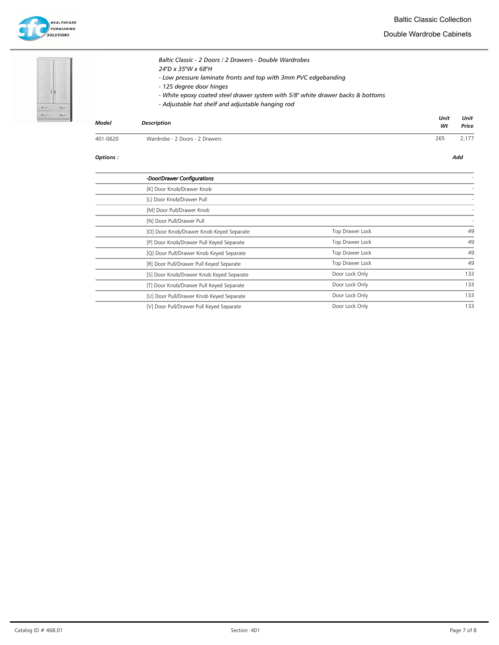Double Wardrobe Cabinets





Baltic Classic - 2 Doors / 2 Drawers - Double Wardrobes 24"D x 35"W x 68"H - Low pressure laminate fronts and top with 3mm PVC edgebanding - 125 degree door hinges - White epoxy coated steel drawer system with 5/8" white drawer backs & bottoms

- Adjustable hat shelf and adjustable hanging rod

| <b>Model</b> | <b>Description</b>             | Unit<br>Wt | Unit<br>Price |
|--------------|--------------------------------|------------|---------------|
| 401-0620     | Wardrobe - 2 Doors - 2 Drawers | 265        | 2,177         |

| -Door/Drawer Configurations              |                 |     |
|------------------------------------------|-----------------|-----|
| [K] Door Knob/Drawer Knob                |                 |     |
| [L] Door Knob/Drawer Pull                |                 |     |
| [M] Door Pull/Drawer Knob                |                 |     |
| [N] Door Pull/Drawer Pull                |                 |     |
| [O] Door Knob/Drawer Knob Keyed Separate | Top Drawer Lock | 49  |
| [P] Door Knob/Drawer Pull Keyed Separate | Top Drawer Lock | 49  |
| [Q] Door Pull/Drawer Knob Keyed Separate | Top Drawer Lock | 49  |
| [R] Door Pull/Drawer Pull Keyed Separate | Top Drawer Lock | 49  |
| [S] Door Knob/Drawer Knob Keyed Separate | Door Lock Only  | 133 |
| [T] Door Knob/Drawer Pull Keyed Separate | Door Lock Only  | 133 |
| [U] Door Pull/Drawer Knob Keyed Separate | Door Lock Only  | 133 |
| [V] Door Pull/Drawer Pull Keyed Separate | Door Lock Only  | 133 |
|                                          |                 |     |